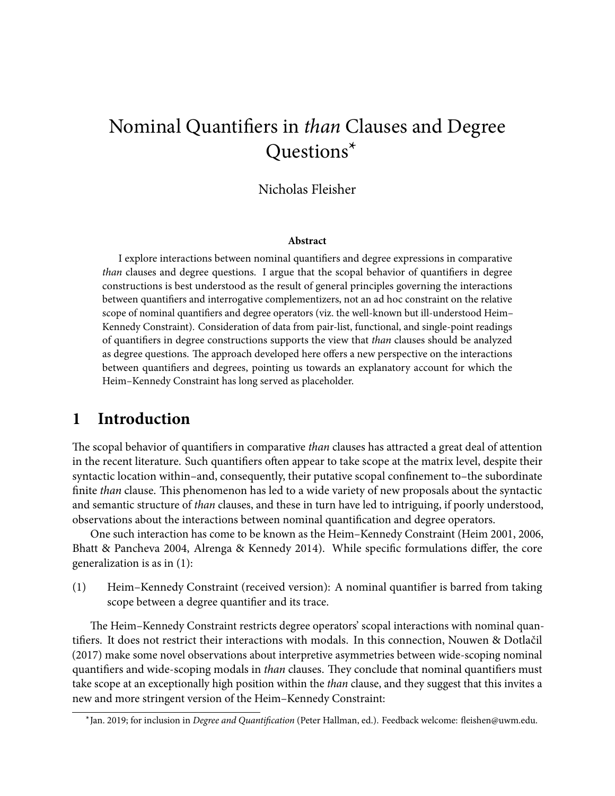# Nominal Quantifiers in than Clauses and Degree Questions\*

#### Nicholas Fleisher

#### **Abstract**

I explore interactions between nominal quantifiers and degree expressions in comparative *than* clauses and degree questions. I argue that the scopal behavior of quantifiers in degree constructions is best understood as the result of general principles governing the interactions between quantifiers and interrogative complementizers, not an ad hoc constraint on the relative scope of nominal quantifiers and degree operators (viz. the well-known but ill-understood Heim– Kennedy Constraint). Consideration of data from pair-list, functional, and single-point readings of quantifiers in degree constructions supports the view that *than* clauses should be analyzed as degree questions. The approach developed here offers a new perspective on the interactions between quantifiers and degrees, pointing us towards an explanatory account for which the Heim–Kennedy Constraint has long served as placeholder.

#### **1 Introduction**

The scopal behavior of quantifiers in comparative than clauses has attracted a great deal of attention in the recent literature. Such quantifiers often appear to take scope at the matrix level, despite their syntactic location within–and, consequently, their putative scopal confinement to–the subordinate finite than clause. This phenomenon has led to a wide variety of new proposals about the syntactic and semantic structure of *than* clauses, and these in turn have led to intriguing, if poorly understood, observations about the interactions between nominal quantification and degree operators.

One such interaction has come to be known as the Heim–Kennedy Constraint [\(Heim 2001,](#page-11-0) [2006,](#page-11-1) [Bhatt & Pancheva 2004,](#page-11-2) [Alrenga & Kennedy 2014\)](#page-11-3). While specific formulations differ, the core generalization is asin [\(1\):](#page-0-0)

<span id="page-0-0"></span>(1) Heim–Kennedy Constraint (received version): A nominal quantifier is barred from taking scope between a degree quantifier and its trace.

The Heim–Kennedy Constraint restricts degree operators' scopal interactions with nominal quantifiers. It does not restrict their interactions with modals. In this connection, [Nouwen & Dotlačil](#page-12-0) [\(2017\)](#page-12-0) make some novel observations about interpretive asymmetries between wide-scoping nominal quantifiers and wide-scoping modals in *than* clauses. They conclude that nominal quantifiers must take scope at an exceptionally high position within the than clause, and they suggest that this invites a new and more stringent version of the Heim–Kennedy Constraint:

<span id="page-0-1"></span><sup>\*</sup>Jan. 2019; for inclusion in Degree and Quantification (Peter Hallman, ed.). Feedback welcome: fleishen@uwm.edu.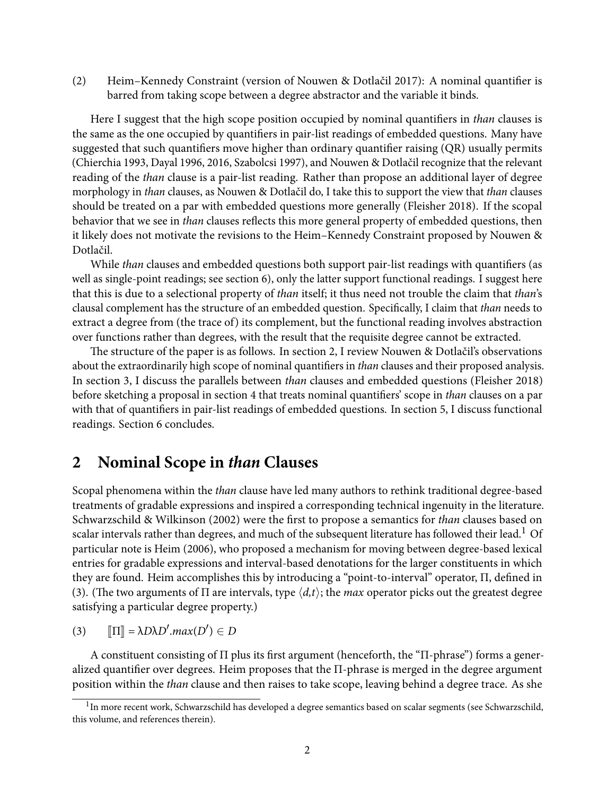(2) Heim–Kennedy Constraint (version of [Nouwen & Dotlačil 2017\)](#page-12-0): A nominal quantifier is barred from taking scope between a degree abstractor and the variable it binds.

Here I suggest that the high scope position occupied by nominal quantifiers in *than* clauses is the same as the one occupied by quantifiers in pair-list readings of embedded questions. Many have suggested that such quantifiers move higher than ordinary quantifier raising (QR) usually permits [\(Chierchia 1993,](#page-11-4) [Dayal 1996,](#page-11-5) [2016,](#page-11-6) [Szabolcsi 1997\)](#page-12-1), and [Nouwen & Dotlačil](#page-12-0) recognize that the relevant reading of the than clause is a pair-list reading. Rather than propose an additional layer of degree morphology in than clauses,as [Nouwen & Dotlačil](#page-12-0) do, I take this to support the view that than clauses should be treated on a par with embedded questions more generally [\(Fleisher 2018\)](#page-11-7). If the scopal behavior that we see in *than* clauses reflects this more general property of embedded questions, then it likely does not motivate the revisions to the Heim–Kennedy Constraint proposed by [Nouwen &](#page-12-0) [Dotlačil.](#page-12-0)

While than clauses and embedded questions both support pair-list readings with quantifiers (as well as single-point readings; see section 6), only the latter support functional readings. I suggest here that this is due to a selectional property of than itself; it thus need not trouble the claim that than's clausal complement has the structure of an embedded question. Specifically, I claim that than needs to extract a degree from (the trace of) its complement, but the functional reading involves abstraction over functions rather than degrees, with the result that the requisite degree cannot be extracted.

The structure of the paper is as follows. In section 2, I review [Nouwen & Dotlačil's](#page-12-0) observations about the extraordinarily high scope of nominal quantifiers in *than* clauses and their proposed analysis. In section 3, I discuss the parallels between than clauses and embedded questions [\(Fleisher 2018\)](#page-11-7) before sketching a proposal in section 4 that treats nominal quantifiers' scope in than clauses on a par with that of quantifiers in pair-list readings of embedded questions. In section 5, I discuss functional readings. Section 6 concludes.

## **2 Nominal Scope in than Clauses**

Scopal phenomena within the than clause have led many authors to rethink traditional degree-based treatments of gradable expressions and inspired a corresponding technical ingenuity in the literature. [Schwarzschild & Wilkinson \(2002\)](#page-12-2) were the first to propose a semantics for than clauses based on scalar intervals rather than degrees, and much of the subsequent literature has followed their lead.<sup>[1](#page-1-0)</sup> Of particular noteis [Heim \(2006\),](#page-11-1) who proposed a mechanism for moving between degree-based lexical entries for gradable expressions and interval-based denotations for the larger constituents in which they are found. [Heim](#page-11-1) accomplishes this by introducing a "point-to-interval" operator, Π, defined in [\(3\).](#page-1-1) (The two arguments of  $\Pi$  are intervals, type  $\langle d,t \rangle$ ; the *max* operator picks out the greatest degree satisfying a particular degree property.)

<span id="page-1-1"></span>(3)  $\left[\![\Pi]\!]=\lambda D\lambda D'.max(D')\in D$ 

A constituent consisting of Π plus its first argument (henceforth, the "Π-phrase") forms a generalized quantifier over degrees. [Heim](#page-11-1) proposes that the Π-phrase is merged in the degree argument position within the *than* clause and then raises to take scope, leaving behind a degree trace. As she

<span id="page-1-0"></span><sup>&</sup>lt;sup>1</sup>In more recent work, Schwarzschild has developed a degree semantics based on scalar segments (see [Schwarzschild,](#page-12-3) this volume, and references therein).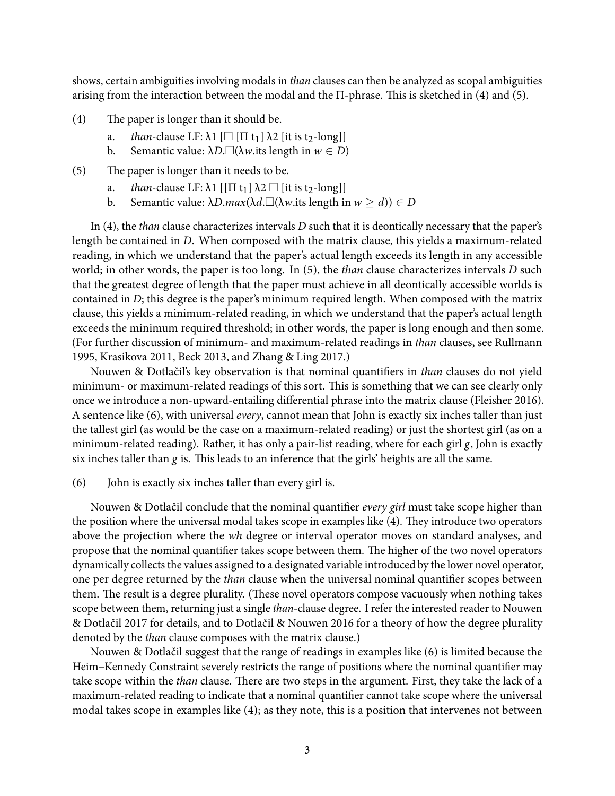shows, certain ambiguities involving modals in *than* clauses can then be analyzed as scopal ambiguities arising from the interaction between the modal and the Π-phrase. This is sketchedin [\(4\)](#page-2-0) and [\(5\).](#page-2-1)

- <span id="page-2-0"></span>(4) The paper is longer than it should be.
	- a. *than*-clause LF:  $\lambda$ 1  $\Box$  [ $\Pi$  t<sub>1</sub>]  $\lambda$ 2 [it is t<sub>2</sub>-long]]
	- b. Semantic value:  $\lambda D. \Box(\lambda w$  its length in  $w \in D$ )
- <span id="page-2-1"></span>(5) The paper is longer than it needs to be.
	- a. *than*-clause LF:  $\lambda$ 1  $[$ [ $\Pi$  t<sub>1</sub>]  $\lambda$ 2  $\Box$  [it is t<sub>2</sub>-long]]
	- b. Semantic value:  $\lambda D.max(\lambda d. \Box(\lambda w.$ its length in  $w > d$ ))  $\in D$

In [\(4\),](#page-2-0) the than clause characterizes intervals  $D$  such that it is deontically necessary that the paper's length be contained in D. When composed with the matrix clause, this yields a maximum-related reading, in which we understand that the paper's actual length exceeds its length in any accessible world; in other words, the paper is too long. In [\(5\),](#page-2-1) the than clause characterizes intervals D such that the greatest degree of length that the paper must achieve in all deontically accessible worlds is contained in D; this degree is the paper's minimum required length. When composed with the matrix clause, this yields a minimum-related reading, in which we understand that the paper's actual length exceeds the minimum required threshold; in other words, the paper is long enough and then some. (For further discussion of minimum- and maximum-related readings in than clauses, see [Rullmann](#page-12-4) [1995,](#page-12-4) [Krasikova 2011,](#page-11-8) [Beck 2013,](#page-11-9) and [Zhang & Ling 2017.](#page-12-5))

[Nouwen & Dotlačil's](#page-12-0) key observation is that nominal quantifiers in than clauses do not yield minimum- or maximum-related readings of this sort. This is something that we can see clearly only once we introduce a non-upward-entailing differential phrase into the matrix clause [\(Fleisher 2016\)](#page-11-10). A sentence like [\(6\),](#page-2-2) with universal every, cannot mean that John is exactly six inches taller than just the tallest girl (as would be the case on a maximum-related reading) or just the shortest girl (as on a minimum-related reading). Rather, it has only a pair-list reading, where for each girl  $g$ , John is exactly six inches taller than  $g$  is. This leads to an inference that the girls' heights are all the same.

<span id="page-2-2"></span>(6) John is exactly six inches taller than every girl is.

[Nouwen & Dotlačil](#page-12-0) conclude that the nominal quantifier every girl must take scope higher than the position where the universal modal takes scope in examples like [\(4\).](#page-2-0) They introduce two operators above the projection where the wh degree or interval operator moves on standard analyses, and propose that the nominal quantifier takes scope between them. The higher of the two novel operators dynamically collects the values assigned to a designated variable introduced by the lower novel operator, one per degree returned by the than clause when the universal nominal quantifier scopes between them. The result is a degree plurality. (These novel operators compose vacuously when nothing takes scopebetween them, returning just a single than-clause degree. I refer the interested reader to [Nouwen](#page-12-0) [& Dotlačil 2017](#page-12-0) for details, andto [Dotlačil & Nouwen 2016](#page-11-11) for a theory of how the degree plurality denoted by the than clause composes with the matrix clause.)

[Nouwen & Dotlačil](#page-12-0) suggest that the range of readings in examples like [\(6\)](#page-2-2) is limited because the Heim–Kennedy Constraint severely restricts the range of positions where the nominal quantifier may take scope within the than clause. There are two steps in the argument. First, they take the lack of a maximum-related reading to indicate that a nominal quantifier cannot take scope where the universal modal takes scope in examples like [\(4\);](#page-2-0) as they note, this is a position that intervenes not between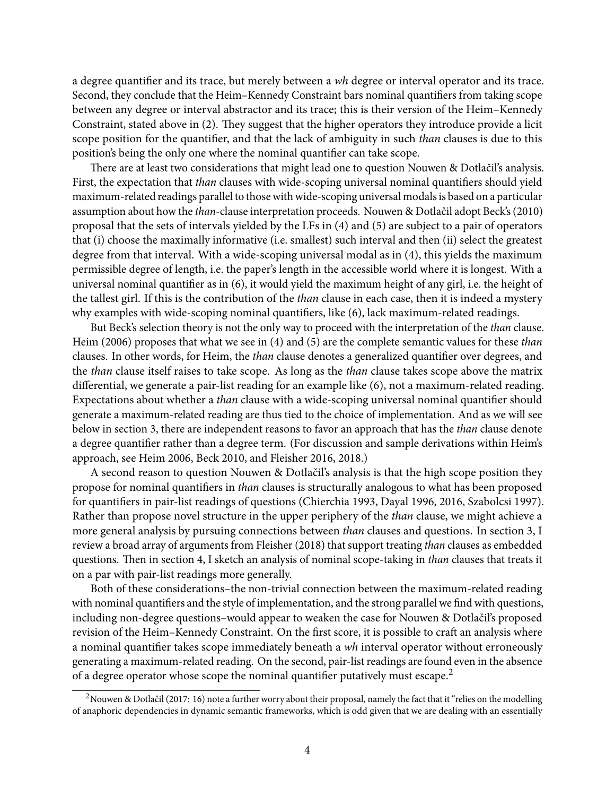a degree quantifier and its trace, but merely between a wh degree or interval operator and its trace. Second, they conclude that the Heim–Kennedy Constraint bars nominal quantifiers from taking scope between any degree or interval abstractor and its trace; this is their version of the Heim–Kennedy Constraint, stated abovein [\(2\).](#page-0-1) They suggest that the higher operators they introduce provide a licit scope position for the quantifier, and that the lack of ambiguity in such than clauses is due to this position's being the only one where the nominal quantifier can take scope.

There are at least two considerations that might lead one to question [Nouwen & Dotlačil's](#page-12-0) analysis. First, the expectation that than clauses with wide-scoping universal nominal quantifiers should yield maximum-related readings parallel to those with wide-scoping universal modals is based on a particular assumption about how the than-clause interpretation proceeds. [Nouwen & Dotlačil](#page-12-0) adopt [Beck's \(2010\)](#page-11-12) proposal that the sets of intervals yielded by the LFsin [\(4\)](#page-2-0) and [\(5\)](#page-2-1) are subject to a pair of operators that (i) choose the maximally informative (i.e. smallest) such interval and then (ii) select the greatest degree from that interval. With a wide-scoping universal modal asin [\(4\),](#page-2-0) this yields the maximum permissible degree of length, i.e. the paper's length in the accessible world where it is longest. With a universal nominal quantifier asin [\(6\),](#page-2-2) it would yield the maximum height of any girl, i.e. the height of the tallest girl. If this is the contribution of the than clause in each case, then it is indeed a mystery why examples with wide-scoping nominal quantifiers, like [\(6\),](#page-2-2) lack maximum-related readings.

But [Beck's](#page-11-12) selection theory is not the only way to proceed with the interpretation of the than clause. [Heim \(2006\)](#page-11-1) proposes that what we seein [\(4\)](#page-2-0) and [\(5\)](#page-2-1) are the complete semantic values for these than clauses. In other words, for [Heim,](#page-11-1) the than clause denotes a generalized quantifier over degrees, and the than clause itself raises to take scope. As long as the than clause takes scope above the matrix differential, we generate a pair-list reading for an example like [\(6\),](#page-2-2) not a maximum-related reading. Expectations about whether a than clause with a wide-scoping universal nominal quantifier should generate a maximum-related reading are thus tied to the choice of implementation. And as we will see below in section 3, there are independent reasons to favor an approach that has the than clause denote a degree quantifier rather than a degree term. (For discussion and sample derivations within [Heim's](#page-11-1) approach, see [Heim 2006,](#page-11-1) [Beck 2010,](#page-11-12) and [Fleisher 2016,](#page-11-10) [2018.](#page-11-7))

A second reason to question [Nouwen & Dotlačil's](#page-12-0) analysis is that the high scope position they propose for nominal quantifiers in than clauses is structurally analogous to what has been proposed for quantifiers in pair-list readings of questions [\(Chierchia 1993,](#page-11-4) [Dayal 1996,](#page-11-5) [2016,](#page-11-6) [Szabolcsi 1997\)](#page-12-1). Rather than propose novel structure in the upper periphery of the than clause, we might achieve a more general analysis by pursuing connections between than clauses and questions. In section 3, I review a broad array of arguments from [Fleisher \(2018\)](#page-11-7) that support treating than clauses as embedded questions. Then in section 4, I sketch an analysis of nominal scope-taking in than clauses that treats it on a par with pair-list readings more generally.

Both of these considerations–the non-trivial connection between the maximum-related reading with nominal quantifiers and the style of implementation, and the strong parallel we find with questions, including non-degree questions–would appear to weaken the case for [Nouwen & Dotlačil's](#page-12-0) proposed revision of the Heim–Kennedy Constraint. On the first score, it is possible to craft an analysis where a nominal quantifier takes scope immediately beneath a wh interval operator without erroneously generating a maximum-related reading. On the second, pair-list readings are found even in the absence of a degree operator whose scope the nominal quantifier putatively must escape.<sup>[2](#page-3-0)</sup>

<span id="page-3-0"></span><sup>&</sup>lt;sup>2</sup> [Nouwen & Dotlačil \(2017:](#page-12-0) 16) note a further worry about their proposal, namely the fact that it "relies on the modelling of anaphoric dependencies in dynamic semantic frameworks, which is odd given that we are dealing with an essentially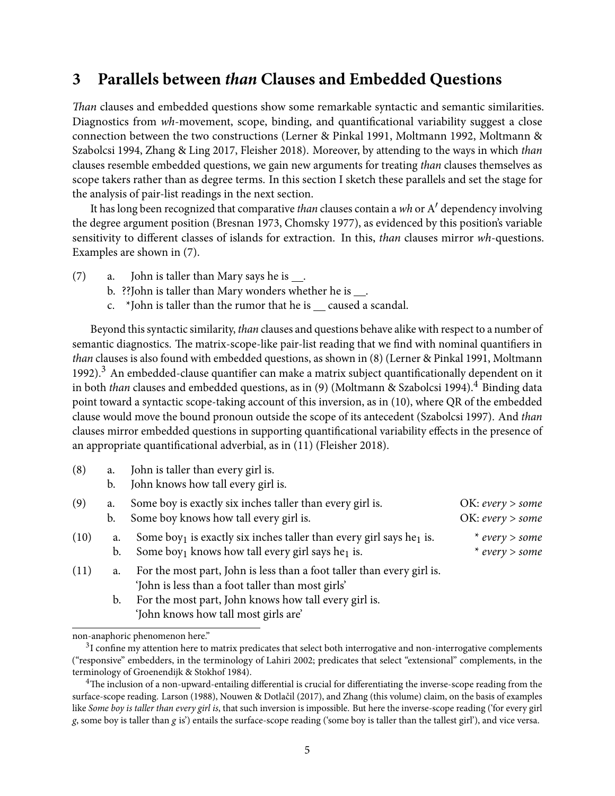# **3 Parallels between than Clauses and Embedded Questions**

Than clauses and embedded questions show some remarkable syntactic and semantic similarities. Diagnostics from wh-movement, scope, binding, and quantificational variability suggest a close connection between the two constructions [\(Lerner & Pinkal 1991,](#page-12-6) [Moltmann 1992,](#page-12-7) [Moltmann &](#page-12-8) [Szabolcsi 1994,](#page-12-8) [Zhang & Ling 2017,](#page-12-5) [Fleisher 2018\)](#page-11-7). Moreover, by attending to the ways in which than clauses resemble embedded questions, we gain new arguments for treating than clauses themselves as scope takers rather than as degree terms. In this section I sketch these parallels and set the stage for the analysis of pair-list readings in the next section.

It has long been recognized that comparative than clauses contain a wh or  $A'$  dependency involving the degree argument position [\(Bresnan 1973,](#page-11-13) [Chomsky 1977\)](#page-11-14), as evidenced by this position's variable sensitivity to different classes of islands for extraction. In this, than clauses mirror wh-questions. Examples are shownin [\(7\).](#page-4-0)

- <span id="page-4-0"></span>(7) a. John is taller than Mary says he is  $\Box$ .
	- b. ??John is taller than Mary wonders whether he is  $\_\_$ .
	- c.  $*$  John is taller than the rumor that he is  $\_\_$  caused a scandal.

Beyond this syntactic similarity, than clauses and questions behave alike with respect to a number of semantic diagnostics. The matrix-scope-like pair-list reading that we find with nominal quantifiers in than clauses is also found with embedded questions, as shownin [\(8\)](#page-4-1) [\(Lerner & Pinkal 1991,](#page-12-6) [Moltmann](#page-12-7) [1992\)](#page-12-7).<sup>[3](#page-4-2)</sup> An embedded-clause quantifier can make a matrix subject quantificationally dependent on it inboth than clauses and embedded questions, as in [\(9\)](#page-4-3) [\(Moltmann & Szabolcsi 1994\)](#page-12-8).<sup>[4](#page-4-4)</sup> Binding data point toward a syntactic scope-taking account of this inversion, asin [\(10\),](#page-4-5) where QR of the embedded clause would move the bound pronoun outside the scope of its antecedent [\(Szabolcsi 1997\)](#page-12-1). And than clauses mirror embedded questions in supporting quantificational variability effects in the presence of an appropriate quantificational adverbial, asin [\(11\)](#page-4-6) [\(Fleisher 2018\)](#page-11-7).

<span id="page-4-7"></span><span id="page-4-5"></span><span id="page-4-3"></span><span id="page-4-1"></span>

| (8)  | a. | John is taller than every girl is.                                                          |                  |
|------|----|---------------------------------------------------------------------------------------------|------------------|
|      | b. | John knows how tall every girl is.                                                          |                  |
| (9)  | a. | Some boy is exactly six inches taller than every girl is.                                   | OK: every > some |
|      | b. | Some boy knows how tall every girl is.                                                      | OK: every > some |
| (10) | a. | Some boy <sub>1</sub> is exactly six inches taller than every girl says he <sub>1</sub> is. | * every $>$ some |
|      | b. | Some boy <sub>1</sub> knows how tall every girl says he <sub>1</sub> is.                    | $*$ every > some |
| (11) | a. | For the most part, John is less than a foot taller than every girl is.                      |                  |
|      |    | 'John is less than a foot taller than most girls'                                           |                  |
|      | b. | For the most part, John knows how tall every girl is.                                       |                  |
|      |    | 'John knows how tall most girls are'                                                        |                  |

<span id="page-4-6"></span>non-anaphoric phenomenon here."

<span id="page-4-2"></span><sup>&</sup>lt;sup>3</sup>I confine my attention here to matrix predicates that select both interrogative and non-interrogative complements ("responsive" embedders, in the terminologyof [Lahiri 2002;](#page-11-15) predicates that select "extensional" complements, in the terminologyof [Groenendijk & Stokhof 1984\)](#page-11-16).

<span id="page-4-4"></span><sup>&</sup>lt;sup>4</sup>The inclusion of a non-upward-entailing differential is crucial for differentiating the inverse-scope reading from the surface-scope reading. [Larson \(1988\),](#page-11-17) [Nouwen & Dotlačil \(2017\),](#page-12-0) and [Zhang](#page-12-9) (this volume) claim, on the basis of examples like Some boy is taller than every girl is, that such inversion is impossible. But here the inverse-scope reading ('for every girl g, some boy is taller than g is') entails the surface-scope reading ('some boy is taller than the tallest girl'), and vice versa.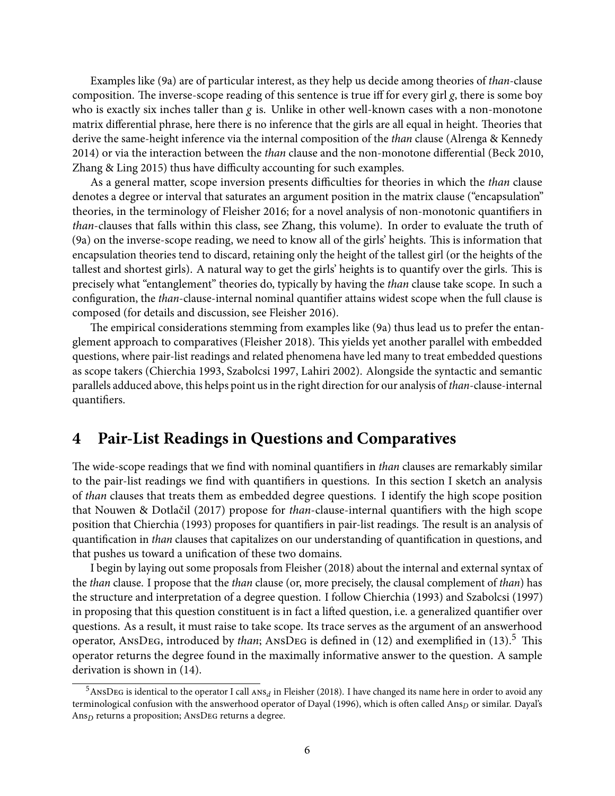Examples like [\(9a\)](#page-4-7) are of particular interest, as they help us decide among theories of than-clause composition. The inverse-scope reading of this sentence is true iff for every girl g, there is some boy who is exactly six inches taller than  $g$  is. Unlike in other well-known cases with a non-monotone matrix differential phrase, here there is no inference that the girls are all equal in height. Theories that derive the same-height inference via the internal composition of the than clause [\(Alrenga & Kennedy](#page-11-3) [2014\)](#page-11-3) or via the interaction between the than clause and the non-monotone differential [\(Beck 2010,](#page-11-12) [Zhang & Ling 2015\)](#page-12-10) thus have difficulty accounting for such examples.

As a general matter, scope inversion presents difficulties for theories in which the *than* clause denotes a degree or interval that saturates an argument position in the matrix clause ("encapsulation" theories, in the terminologyof [Fleisher 2016;](#page-11-10) for a novel analysis of non-monotonic quantifiers in than-clauses that falls within this class, see [Zhang,](#page-12-9) this volume). In order to evaluate the truth of [\(9a\)](#page-4-7) on the inverse-scope reading, we need to know all of the girls' heights. This is information that encapsulation theories tend to discard, retaining only the height of the tallest girl (or the heights of the tallest and shortest girls). A natural way to get the girls' heights is to quantify over the girls. This is precisely what "entanglement" theories do, typically by having the *than* clause take scope. In such a configuration, the than-clause-internal nominal quantifier attains widest scope when the full clause is composed (for details and discussion, see [Fleisher 2016\)](#page-11-10).

The empirical considerations stemming from examples like [\(9a\)](#page-4-7) thus lead us to prefer the entanglement approach to comparatives [\(Fleisher 2018\)](#page-11-7). This yields yet another parallel with embedded questions, where pair-list readings and related phenomena have led many to treat embedded questions as scope takers [\(Chierchia 1993,](#page-11-4) [Szabolcsi 1997,](#page-12-1) [Lahiri 2002\)](#page-11-15). Alongside the syntactic and semantic parallels adduced above, this helps point us in the right direction for our analysis of than-clause-internal quantifiers.

#### **4 Pair-List Readings in Questions and Comparatives**

The wide-scope readings that we find with nominal quantifiers in *than* clauses are remarkably similar to the pair-list readings we find with quantifiers in questions. In this section I sketch an analysis of than clauses that treats them as embedded degree questions. I identify the high scope position that [Nouwen & Dotlačil \(2017\)](#page-12-0) propose for than-clause-internal quantifiers with the high scope position that [Chierchia \(1993\)](#page-11-4) proposes for quantifiers in pair-list readings. The result is an analysis of quantification in than clauses that capitalizes on our understanding of quantification in questions, and that pushes us toward a unification of these two domains.

I begin by laying out some proposals from [Fleisher \(2018\)](#page-11-7) about the internal and external syntax of the than clause. I propose that the than clause (or, more precisely, the clausal complement of than) has the structure and interpretation of a degree question. I follow [Chierchia \(1993\)](#page-11-4) and [Szabolcsi \(1997\)](#page-12-1) in proposing that this question constituent is in fact a lifted question, i.e. a generalized quantifier over questions. As a result, it must raise to take scope. Its trace serves as the argument of an answerhood operator,AnsDEG, introduced by than; AnsDEG is defined in [\(12\)](#page-5-0) and exemplified in [\(13\).](#page-6-0)<sup>[5](#page-5-1)</sup> This operator returns the degree found in the maximally informative answer to the question. A sample derivation is shownin [\(14\).](#page-6-1)

<span id="page-5-1"></span><span id="page-5-0"></span> $^5$ AnsDEG is identical to the operator I call Ans<sub>d</sub> in [Fleisher \(2018\).](#page-11-7) I have changed its name here in order to avoid any terminologicalconfusion with the answerhood operator of [Dayal \(1996\),](#page-11-5) which is often called Ans $p$  or similar. [Dayal's](#page-11-5) Ans<sub>D</sub> returns a proposition; AnsDEG returns a degree.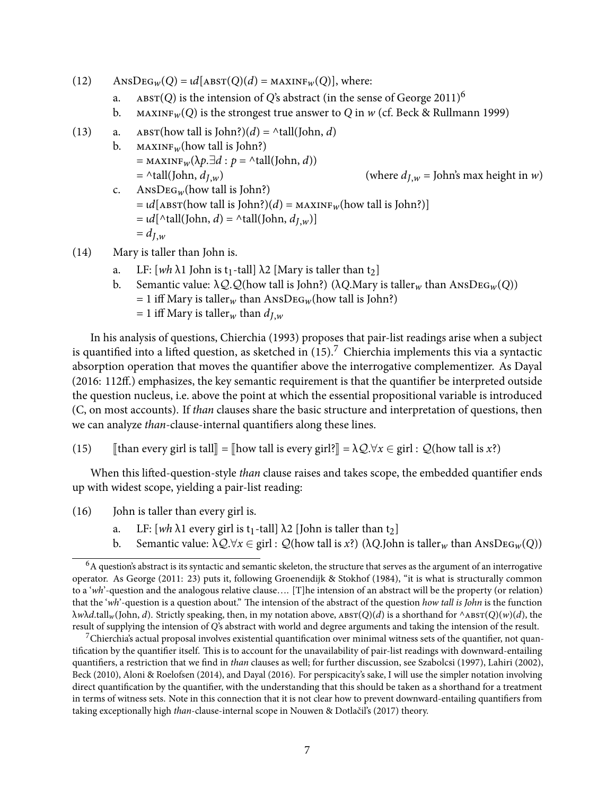- (12) Ans $\text{Des}_w(Q) = \text{id}[\text{ABST}(Q)(d) = \text{MAXINF}_w(Q)]$ , where:
	- a.ABST(Q) is the intension of Q's abstract (in the sense of [George 2011\)](#page-11-18)<sup>[6](#page-6-2)</sup>
	- b. MAXINF<sub>W</sub>(Q) is the strongest true answer to Q in w (cf. [Beck & Rullmann 1999\)](#page-11-19)
- <span id="page-6-0"></span>(13) a. ABST(how tall is John?)(d) =  $\land$ tall(John, d) b.  $\text{MAXINF}_{w}(\text{how tall is John?})$ 
	- = MAXINF<sub>W</sub>( $\lambda p.\exists d : p = \land \text{tall}(\text{John}, d)$ )<br>=  $\land \text{tall}(\text{John}, d_{I,w})$ (where  $d_{J,w}$  = John's max height in w)
	- c. Ans $\text{Deg}_{w}$ (how tall is John?) =  $\iota d$ [ABST(how tall is John?)(*d*) = MAXINF<sub>w</sub>(how tall is John?)] =  $\iota d[^{\wedge}$ tall(John, *d*) = ^tall(John, *d*<sub>*I,w*</sub>)]  $= d_{I,w}$
- <span id="page-6-1"></span>(14) Mary is taller than John is.
	- a. LF: [wh  $\lambda$ 1 John is t<sub>1</sub>-tall]  $\lambda$ 2 [Mary is taller than t<sub>2</sub>]
	- b. Semantic value:  $\lambda Q. Q$ (how tall is John?) ( $\lambda Q.$ Mary is taller<sub>w</sub> than AnsDEG<sub>W</sub>(Q)) = 1 iff Mary is taller<sub>w</sub> than  $AnsDeG_w(how$  tall is John?) = 1 iff Mary is taller<sub>w</sub> than  $d_{I,w}$

In his analysis of questions, [Chierchia \(1993\)](#page-11-4) proposes that pair-list readings arise when a subject is quantified into a lifted question, as sketched in  $(15)$ .<sup>[7](#page-6-4)</sup> [Chierchia](#page-11-4) implements this via a syntactic absorption operation that moves the quantifier above the interrogative complementizer. As [Dayal](#page-11-6) [\(2016:](#page-11-6) 112ff.) emphasizes, the key semantic requirement is that the quantifier be interpreted outside the question nucleus, i.e. above the point at which the essential propositional variable is introduced (C, on most accounts). If than clauses share the basic structure and interpretation of questions, then we can analyze than-clause-internal quantifiers along these lines.

<span id="page-6-3"></span>(15)  $\Vert$  [than every girl is tall $\Vert = \Vert$ how tall is every girl? $\Vert = \lambda \mathcal{Q} \cdot \forall x \in \text{girl} : \mathcal{Q}$ (how tall is x?)

When this lifted-question-style than clause raises and takes scope, the embedded quantifier ends up with widest scope, yielding a pair-list reading:

- <span id="page-6-5"></span>(16) John is taller than every girl is.
	- a. LF: [wh  $\lambda$ 1 every girl is t<sub>1</sub>-tall]  $\lambda$ 2 [John is taller than t<sub>2</sub>]
	- b. Semantic value:  $\lambda Q. \forall x \in \text{girl} : Q(\text{how tall is } x?)$  ( $\lambda Q. \text{John is taller}_w$  than  $\text{AnsDec}_w(Q)$ )

<span id="page-6-2"></span> $6A$  question's abstract is its syntactic and semantic skeleton, the structure that serves as the argument of an interrogative operator. As [George \(2011:](#page-11-18) 23) puts it, following [Groenendijk & Stokhof \(1984\),](#page-11-16) "it is what is structurally common to a 'wh'-question and the analogous relative clause.... [T]he intension of an abstract will be the property (or relation) that the 'wh'-question is a question about." The intension of the abstract of the question how tall is John is the function  $\lambda w \lambda d$ .tall<sub>w</sub>(John, d). Strictly speaking, then, in my notation above,  $ABST(Q)(d)$  is a shorthand for  $\land$ ABST(Q)(w)(d), the result of supplying the intension of Q's abstract with world and degree arguments and taking the intension of the result.

<span id="page-6-4"></span> $7$ [Chierchia's](#page-11-4) actual proposal involves existential quantification over minimal witness sets of the quantifier, not quantification by the quantifier itself. This is to account for the unavailability of pair-list readings with downward-entailing quantifiers, a restriction that we find in than clauses as well; for further discussion, see [Szabolcsi \(1997\),](#page-12-1) [Lahiri \(2002\),](#page-11-15) [Beck \(2010\),](#page-11-12) [Aloni & Roelofsen \(2014\),](#page-11-20) and [Dayal \(2016\).](#page-11-6) For perspicacity's sake, I will use the simpler notation involving direct quantification by the quantifier, with the understanding that this should be taken as a shorthand for a treatment in terms of witness sets. Note in this connection that it is not clear how to prevent downward-entailing quantifiers from taking exceptionally high than-clause-internal scopein [Nouwen & Dotlačil's \(2017\)](#page-12-0) theory.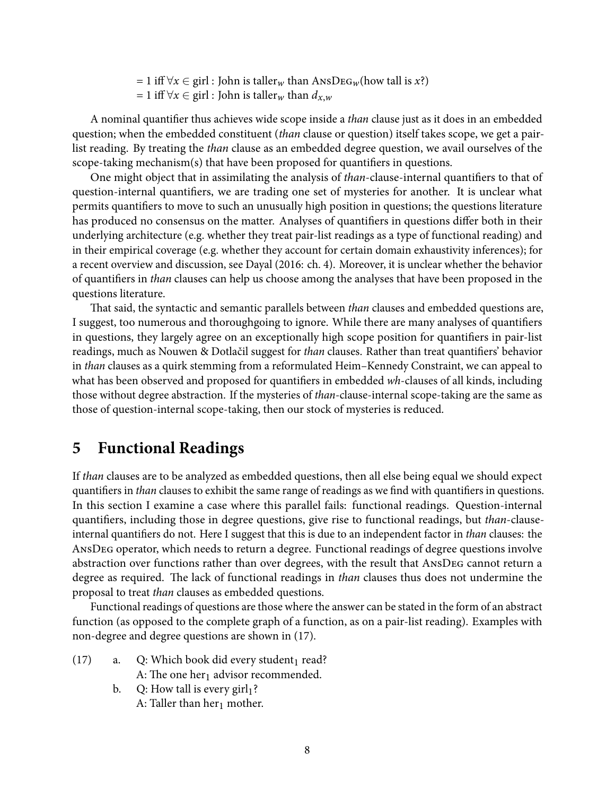= 1 iff  $\forall x \in \text{girl}$ : John is taller<sub>w</sub> than AnsDEG<sub>w</sub>(how tall is x?) = 1 iff  $\forall x \in \text{girl}$  : John is taller<sub>w</sub> than  $d_{x,w}$ 

A nominal quantifier thus achieves wide scope inside a *than* clause just as it does in an embedded question; when the embedded constituent (*than* clause or question) itself takes scope, we get a pairlist reading. By treating the than clause as an embedded degree question, we avail ourselves of the scope-taking mechanism(s) that have been proposed for quantifiers in questions.

One might object that in assimilating the analysis of than-clause-internal quantifiers to that of question-internal quantifiers, we are trading one set of mysteries for another. It is unclear what permits quantifiers to move to such an unusually high position in questions; the questions literature has produced no consensus on the matter. Analyses of quantifiers in questions differ both in their underlying architecture (e.g. whether they treat pair-list readings as a type of functional reading) and in their empirical coverage (e.g. whether they account for certain domain exhaustivity inferences); for a recent overview and discussion, see [Dayal \(2016:](#page-11-6) ch. 4). Moreover, it is unclear whether the behavior of quantifiers in than clauses can help us choose among the analyses that have been proposed in the questions literature.

That said, the syntactic and semantic parallels between *than* clauses and embedded questions are, I suggest, too numerous and thoroughgoing to ignore. While there are many analyses of quantifiers in questions, they largely agree on an exceptionally high scope position for quantifiers in pair-list readings,much as [Nouwen & Dotlačil](#page-12-0) suggest for *than* clauses. Rather than treat quantifiers' behavior in than clauses as a quirk stemming from a reformulated Heim–Kennedy Constraint, we can appeal to what has been observed and proposed for quantifiers in embedded wh-clauses of all kinds, including those without degree abstraction. If the mysteries of than-clause-internal scope-taking are the same as those of question-internal scope-taking, then our stock of mysteries is reduced.

#### **5 Functional Readings**

If than clauses are to be analyzed as embedded questions, then all else being equal we should expect quantifiers in than clauses to exhibit the same range of readings as we find with quantifiers in questions. In this section I examine a case where this parallel fails: functional readings. Question-internal quantifiers, including those in degree questions, give rise to functional readings, but *than*-clauseinternal quantifiers do not. Here I suggest that this is due to an independent factor in than clauses: the AnsDeg operator, which needs to return a degree. Functional readings of degree questions involve abstraction over functions rather than over degrees, with the result that AnsDeg cannot return a degree as required. The lack of functional readings in *than* clauses thus does not undermine the proposal to treat than clauses as embedded questions.

Functional readings of questions are those where the answer can be stated in the form of an abstract function (as opposed to the complete graph of a function, as on a pair-list reading). Examples with non-degree and degree questions are shownin [\(17\).](#page-7-0)

- <span id="page-7-0"></span>(17) a. Q: Which book did every student<sub>1</sub> read? A: The one her<sub>1</sub> advisor recommended.
	- b. Q: How tall is every girl<sub>1</sub>?
		- A: Taller than her<sub>1</sub> mother.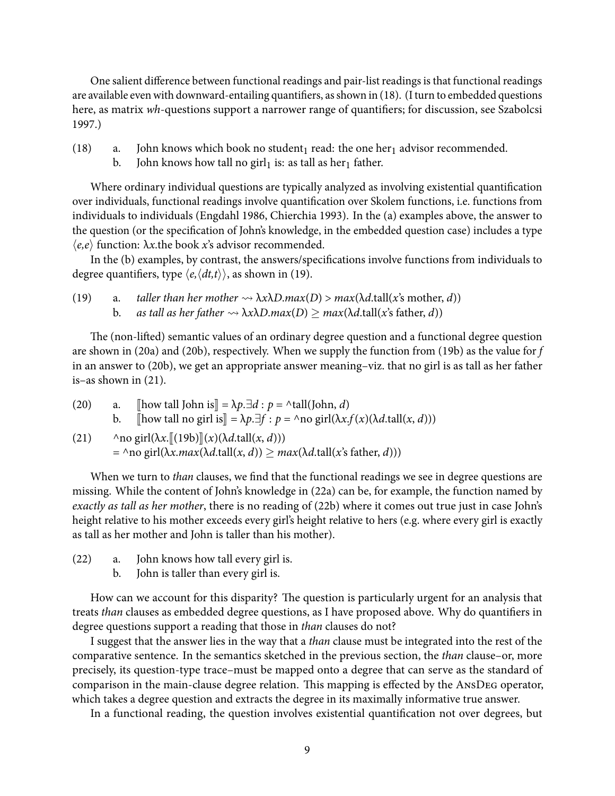One salient difference between functional readings and pair-list readings is that functional readings are available even with downward-entailing quantifiers, as shownin [\(18\).](#page-8-0) (I turn to embedded questions here, as matrix wh-questions support a narrower range of quantifiers; for discussion, see [Szabolcsi](#page-12-1) [1997.](#page-12-1))

- <span id="page-8-0"></span>(18) a. John knows which book no student<sub>1</sub> read: the one her<sub>1</sub> advisor recommended.
	- b. John knows how tall no girl<sub>1</sub> is: as tall as her<sub>1</sub> father.

Where ordinary individual questions are typically analyzed as involving existential quantification over individuals, functional readings involve quantification over Skolem functions, i.e. functions from individuals to individuals [\(Engdahl 1986,](#page-11-21) [Chierchia 1993\)](#page-11-4). In the (a) examples above, the answer to the question (or the specification of John's knowledge, in the embedded question case) includes a type  $\langle e,e \rangle$  function:  $\lambda x$ .the book x's advisor recommended.

In the (b) examples, by contrast, the answers/specifications involve functions from individuals to degreequantifiers, type  $\langle e, \langle dt, t \rangle \rangle$ , as shown in [\(19\).](#page-8-1)

<span id="page-8-4"></span><span id="page-8-1"></span>(19) a. taller than her mother  $\leadsto \lambda x \lambda D.max(D) > max(\lambda d.tall(x's mother, d))$ b. as tall as her father  $\leadsto \lambda x \lambda D.max(D) \geq max(\lambda d.tall(x's father, d))$ 

The (non-lifted) semantic values of an ordinary degree question and a functional degree question are shown in [\(20a\)](#page-8-2) and [\(20b\),](#page-8-3) respectively. When we supply the function from [\(19b\)](#page-8-4) as the value for f in an answer to [\(20b\),](#page-8-3) we get an appropriate answer meaning–viz. that no girl is as tall as her father is–as shownin [\(21\).](#page-8-5)

- <span id="page-8-8"></span><span id="page-8-3"></span><span id="page-8-2"></span>(20) a. [[how tall John is] =  $\lambda p.\exists d : p = \land \text{tall}(\text{John}, d)$ <br>b. [[how tall no girl is] =  $\lambda p.\exists f : p = \land \text{no}$  girl( $\lambda x$ .] [how tall no girl is] =  $\lambda p.\exists f : p = \land \text{no} \text{ girl}(\lambda x.f(x)(\lambda d.tall(x, d)))$
- <span id="page-8-5"></span>(21)  $\wedge$ no girl $(\lambda x. \|(19b)\|(x)(\lambda d. \text{tall}(x, d)))$  $(\lambda x. \|(19b)\|(x)(\lambda d. \text{tall}(x, d)))$  $(\lambda x. \|(19b)\|(x)(\lambda d. \text{tall}(x, d)))$ = ^no girl( $\lambda x.max(\lambda d.tall(x, d)) \geq max(\lambda d.tall(x's father, d)))$

When we turn to *than* clauses, we find that the functional readings we see in degree questions are missing. While the content of John's knowledge in [\(22a\)](#page-8-6) can be, for example, the function named by exactly as tall as her mother, there is no reading of [\(22b\)](#page-8-7) where it comes out true just in case John's height relative to his mother exceeds every girl's height relative to hers (e.g. where every girl is exactly as tall as her mother and John is taller than his mother).

- <span id="page-8-7"></span><span id="page-8-6"></span>(22) a. John knows how tall every girl is.
	- b. John is taller than every girl is.

How can we account for this disparity? The question is particularly urgent for an analysis that treats than clauses as embedded degree questions, as I have proposed above. Why do quantifiers in degree questions support a reading that those in than clauses do not?

I suggest that the answer lies in the way that a *than* clause must be integrated into the rest of the comparative sentence. In the semantics sketched in the previous section, the than clause–or, more precisely, its question-type trace–must be mapped onto a degree that can serve as the standard of comparison in the main-clause degree relation. This mapping is effected by the AnsDeg operator, which takes a degree question and extracts the degree in its maximally informative true answer.

In a functional reading, the question involves existential quantification not over degrees, but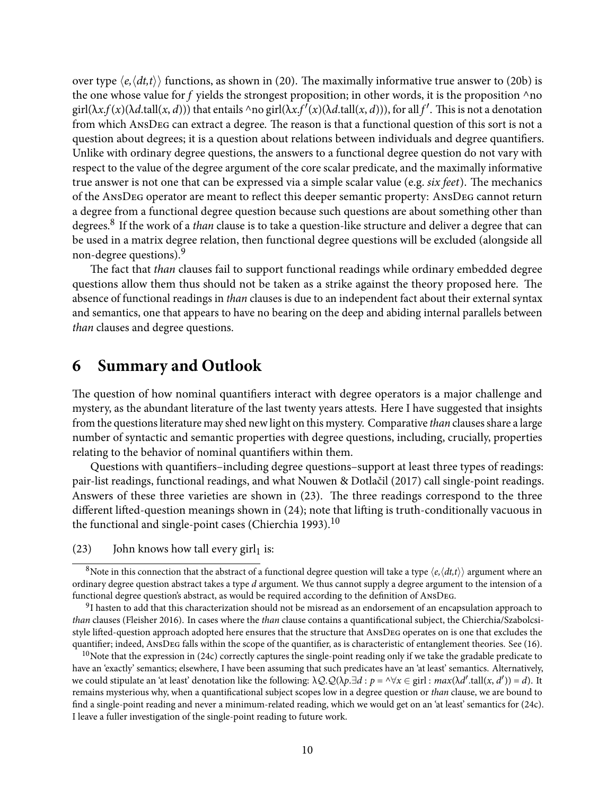overtype  $\langle e, \langle dt, t \rangle$  functions, as shown in [\(20\).](#page-8-8) The maximally informative true answer to [\(20b\)](#page-8-3) is the one whose value for f yields the strongest proposition; in other words, it is the proposition  $\wedge$ no girl $(\lambda x.f(x)(\lambda d.\text{tall}(x,d)))$  that entails ^no girl $(\lambda x.f'(x)(\lambda d.\text{tall}(x,d))),$  for all  $f'$  . This is not a denotation from which AnsDeg can extract a degree. The reason is that a functional question of this sort is not a question about degrees; it is a question about relations between individuals and degree quantifiers. Unlike with ordinary degree questions, the answers to a functional degree question do not vary with respect to the value of the degree argument of the core scalar predicate, and the maximally informative true answer is not one that can be expressed via a simple scalar value (e.g. six feet). The mechanics of the AnsDeg operator are meant to reflect this deeper semantic property: AnsDeg cannot return a degree from a functional degree question because such questions are about something other than degrees.<sup>[8](#page-9-0)</sup> If the work of a than clause is to take a question-like structure and deliver a degree that can be used in a matrix degree relation, then functional degree questions will be excluded (alongside all non-degree questions).<sup>[9](#page-9-1)</sup>

The fact that than clauses fail to support functional readings while ordinary embedded degree questions allow them thus should not be taken as a strike against the theory proposed here. The absence of functional readings in than clauses is due to an independent fact about their external syntax and semantics, one that appears to have no bearing on the deep and abiding internal parallels between than clauses and degree questions.

# **6 Summary and Outlook**

The question of how nominal quantifiers interact with degree operators is a major challenge and mystery, as the abundant literature of the last twenty years attests. Here I have suggested that insights from the questions literature may shed new light on this mystery. Comparative than clauses share a large number of syntactic and semantic properties with degree questions, including, crucially, properties relating to the behavior of nominal quantifiers within them.

Questions with quantifiers–including degree questions–support at least three types of readings: pair-list readings, functional readings, and what [Nouwen & Dotlačil \(2017\)](#page-12-0) call single-point readings. Answers of these three varieties are shown in [\(23\).](#page-9-2) The three readings correspond to the three different lifted-question meanings shownin [\(24\);](#page-10-0) note that lifting is truth-conditionally vacuous in the functional and single-point cases [\(Chierchia 1993\)](#page-11-4).<sup>[10](#page-9-3)</sup>

<span id="page-9-2"></span>(23) John knows how tall every girl<sub>1</sub> is:

<span id="page-9-0"></span><sup>&</sup>lt;sup>8</sup>Note in this connection that the abstract of a functional degree question will take a type  $\langle e,\langle dt,t\rangle$  argument where an ordinary degree question abstract takes a type  $d$  argument. We thus cannot supply a degree argument to the intension of a functional degree question's abstract, as would be required according to the definition of AnsDeg.

<span id="page-9-1"></span> $^9$ I hasten to add that this characterization should not be misread as an endorsement of an encapsulation approach to than clauses [\(Fleisher 2016\)](#page-11-10). In cases where the than clause contains a quantificational subject, the Chierchia/Szabolcsistyle lifted-question approach adopted here ensures that the structure that AnsDeg operates on is one that excludes the quantifier; indeed, AnsDeg falls within the scope of the quantifier, as is characteristic of entanglement theories. See [\(16\).](#page-6-5)

<span id="page-9-3"></span> $10$ Note that the expression in [\(24c\)](#page-10-1) correctly captures the single-point reading only if we take the gradable predicate to have an 'exactly' semantics; elsewhere, I have been assuming that such predicates have an 'at least' semantics. Alternatively, we could stipulate an 'at least' denotation like the following:  $\lambda Q. Q(\lambda p. \exists d : p = \land \forall x \in girl : max(\lambda d'.\text{tall}(x, d')) = d$ ). It remains mysterious why, when a quantificational subject scopes low in a degree question or than clause, we are bound to find a single-point reading and never a minimum-related reading, which we would get on an 'at least' semantics for [\(24c\).](#page-10-1) I leave a fuller investigation of the single-point reading to future work.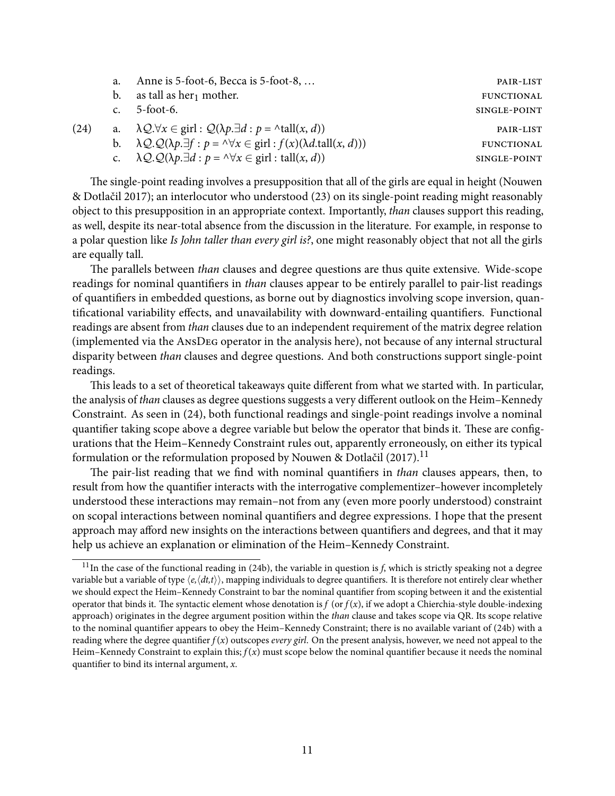<span id="page-10-0"></span>

|      | a.             | Anne is 5-foot-6, Becca is 5-foot-8,                                                                                | PAIR-LIST         |
|------|----------------|---------------------------------------------------------------------------------------------------------------------|-------------------|
|      | b.             | as tall as her <sub>1</sub> mother.                                                                                 | <b>FUNCTIONAL</b> |
|      | $C_{\cdot}$    | $5$ -foot-6.                                                                                                        | SINGLE-POINT      |
| (24) |                | a. $\lambda \mathcal{Q}.\forall x \in \text{girl} : \mathcal{Q}(\lambda p.\exists d : p = \land \text{tall}(x, d))$ | PAIR-LIST         |
|      |                | b. $\lambda Q. Q(\lambda p. \exists f : p = \land \forall x \in \text{girl} : f(x)(\lambda d. \text{tall}(x, d)))$  | <b>FUNCTIONAL</b> |
|      | $\mathsf{C}$ . | $\lambda Q. Q(\lambda p. \exists d : p = \land \forall x \in \text{girl} : \text{tall}(x, d))$                      | SINGLE-POINT      |

<span id="page-10-3"></span><span id="page-10-1"></span>The single-point reading involves a presupposition that all of the girls are equal in height [\(Nouwen](#page-12-0) [& Dotlačil 2017\)](#page-12-0); an interlocutor who understood [\(23\)](#page-9-2) on its single-point reading might reasonably object to this presupposition in an appropriate context. Importantly, than clauses support this reading, as well, despite its near-total absence from the discussion in the literature. For example, in response to a polar question like Is John taller than every girl is?, one might reasonably object that not all the girls are equally tall.

The parallels between than clauses and degree questions are thus quite extensive. Wide-scope readings for nominal quantifiers in than clauses appear to be entirely parallel to pair-list readings of quantifiers in embedded questions, as borne out by diagnostics involving scope inversion, quantificational variability effects, and unavailability with downward-entailing quantifiers. Functional readings are absent from than clauses due to an independent requirement of the matrix degree relation (implemented via the AnsDeg operator in the analysis here), not because of any internal structural disparity between than clauses and degree questions. And both constructions support single-point readings.

This leads to a set of theoretical takeaways quite different from what we started with. In particular, the analysis of than clauses as degree questions suggests a very different outlook on the Heim–Kennedy Constraint. As seenin [\(24\),](#page-10-0) both functional readings and single-point readings involve a nominal quantifier taking scope above a degree variable but below the operator that binds it. These are configurations that the Heim–Kennedy Constraint rules out, apparently erroneously, on either its typical formulation or the reformulation proposed by [Nouwen & Dotlačil \(2017\).](#page-12-0)<sup>[11](#page-10-2)</sup>

The pair-list reading that we find with nominal quantifiers in than clauses appears, then, to result from how the quantifier interacts with the interrogative complementizer–however incompletely understood these interactions may remain–not from any (even more poorly understood) constraint on scopal interactions between nominal quantifiers and degree expressions. I hope that the present approach may afford new insights on the interactions between quantifiers and degrees, and that it may help us achieve an explanation or elimination of the Heim–Kennedy Constraint.

<span id="page-10-2"></span> $11$ In the case of the functional reading in [\(24b\),](#page-10-3) the variable in question is f, which is strictly speaking not a degree variable but a variable of type  $\langle e, \langle dt, t \rangle$ , mapping individuals to degree quantifiers. It is therefore not entirely clear whether we should expect the Heim–Kennedy Constraint to bar the nominal quantifier from scoping between it and the existential operatorthat binds it. The syntactic element whose denotation is  $f$  (or  $f(x)$ , if we adopt a [Chierchia-](#page-11-4)style double-indexing approach) originates in the degree argument position within the than clause and takes scope via QR. Its scope relative to the nominal quantifier appears to obey the Heim–Kennedy Constraint; there is no available variant of [\(24b\)](#page-10-3) with a reading where the degree quantifier  $f(x)$  outscopes *every girl*. On the present analysis, however, we need not appeal to the Heim–Kennedy Constraint to explain this;  $f(x)$  must scope below the nominal quantifier because it needs the nominal quantifier to bind its internal argument,  $x$ .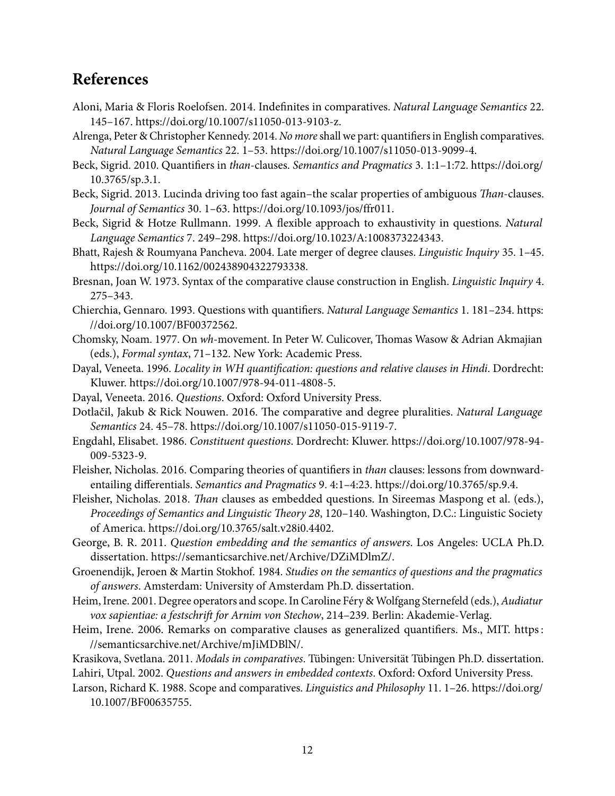# **References**

- <span id="page-11-20"></span>Aloni, Maria & Floris Roelofsen. 2014. Indefinites in comparatives. Natural Language Semantics 22. 145–167. [https://doi.org/10.1007/s11050-013-9103-z.](https://doi.org/10.1007/s11050-013-9103-z)
- <span id="page-11-3"></span>Alrenga, Peter & Christopher Kennedy. 2014. No more shall we part: quantifiers in English comparatives. Natural Language Semantics 22. 1–53. [https://doi.org/10.1007/s11050-013-9099-4.](https://doi.org/10.1007/s11050-013-9099-4)
- <span id="page-11-12"></span>Beck, Sigrid. 2010. Quantifiers in than-clauses. Semantics and Pragmatics 3. 1:1–1:72. [https://doi.org/](https://doi.org/10.3765/sp.3.1) [10.3765/sp.3.1.](https://doi.org/10.3765/sp.3.1)
- <span id="page-11-9"></span>Beck, Sigrid. 2013. Lucinda driving too fast again–the scalar properties of ambiguous Than-clauses. Journal of Semantics 30. 1–63. [https://doi.org/10.1093/jos/ffr011.](https://doi.org/10.1093/jos/ffr011)
- <span id="page-11-19"></span>Beck, Sigrid & Hotze Rullmann. 1999. A flexible approach to exhaustivity in questions. Natural Language Semantics 7. 249–298. [https://doi.org/10.1023/A:1008373224343.](https://doi.org/10.1023/A:1008373224343)
- <span id="page-11-2"></span>Bhatt, Rajesh & Roumyana Pancheva. 2004. Late merger of degree clauses. Linguistic Inquiry 35. 1–45. [https://doi.org/10.1162/002438904322793338.](https://doi.org/10.1162/002438904322793338)
- <span id="page-11-13"></span>Bresnan, Joan W. 1973. Syntax of the comparative clause construction in English. Linguistic Inquiry 4. 275–343.
- <span id="page-11-4"></span>Chierchia, Gennaro. 1993. Questions with quantifiers. Natural Language Semantics 1. 181–234. [https:](https://doi.org/10.1007/BF00372562) [//doi.org/10.1007/BF00372562.](https://doi.org/10.1007/BF00372562)
- <span id="page-11-14"></span>Chomsky, Noam. 1977. On wh-movement. In Peter W. Culicover, Thomas Wasow & Adrian Akmajian (eds.), Formal syntax, 71–132. New York: Academic Press.
- <span id="page-11-5"></span>Dayal, Veneeta. 1996. Locality in WH quantification: questions and relative clauses in Hindi. Dordrecht: Kluwer. [https://doi.org/10.1007/978-94-011-4808-5.](https://doi.org/10.1007/978-94-011-4808-5)
- <span id="page-11-6"></span>Dayal, Veneeta. 2016. Questions. Oxford: Oxford University Press.
- <span id="page-11-11"></span>Dotlačil, Jakub & Rick Nouwen. 2016. The comparative and degree pluralities. Natural Language Semantics 24. 45–78. [https://doi.org/10.1007/s11050-015-9119-7.](https://doi.org/10.1007/s11050-015-9119-7)
- <span id="page-11-21"></span>Engdahl, Elisabet. 1986. Constituent questions. Dordrecht: Kluwer. [https://doi.org/10.1007/978-94-](https://doi.org/10.1007/978-94-009-5323-9) [009-5323-9.](https://doi.org/10.1007/978-94-009-5323-9)
- <span id="page-11-10"></span>Fleisher, Nicholas. 2016. Comparing theories of quantifiers in than clauses: lessons from downwardentailing differentials. Semantics and Pragmatics 9. 4:1–4:23. [https://doi.org/10.3765/sp.9.4.](https://doi.org/10.3765/sp.9.4)
- <span id="page-11-7"></span>Fleisher, Nicholas. 2018. Than clauses as embedded questions. In Sireemas Maspong et al. (eds.), Proceedings of Semantics and Linguistic Theory 28, 120–140. Washington, D.C.: Linguistic Society of America. [https://doi.org/10.3765/salt.v28i0.4402.](https://doi.org/10.3765/salt.v28i0.4402)
- <span id="page-11-18"></span>George, B. R. 2011. Question embedding and the semantics of answers. Los Angeles: UCLA Ph.D. dissertation. [https://semanticsarchive.net/Archive/DZiMDlmZ/.](https://semanticsarchive.net/Archive/DZiMDlmZ/)
- <span id="page-11-16"></span>Groenendijk, Jeroen & Martin Stokhof. 1984. Studies on the semantics of questions and the pragmatics of answers. Amsterdam: University of Amsterdam Ph.D. dissertation.
- <span id="page-11-0"></span>Heim, Irene. 2001. Degree operators and scope. In Caroline Féry & Wolfgang Sternefeld (eds.), Audiatur vox sapientiae: a festschrift for Arnim von Stechow, 214–239. Berlin: Akademie-Verlag.
- <span id="page-11-1"></span>Heim, Irene. 2006. Remarks on comparative clauses as generalized quantifiers. Ms., MIT. [https :](https://semanticsarchive.net/Archive/mJiMDBlN/) [//semanticsarchive.net/Archive/mJiMDBlN/.](https://semanticsarchive.net/Archive/mJiMDBlN/)
- <span id="page-11-15"></span><span id="page-11-8"></span>Krasikova, Svetlana. 2011. Modals in comparatives. Tübingen: Universität Tübingen Ph.D. dissertation. Lahiri, Utpal. 2002. Questions and answers in embedded contexts. Oxford: Oxford University Press.
- <span id="page-11-17"></span>Larson, Richard K. 1988. Scope and comparatives. Linguistics and Philosophy 11. 1–26. [https://doi.org/](https://doi.org/10.1007/BF00635755) [10.1007/BF00635755.](https://doi.org/10.1007/BF00635755)